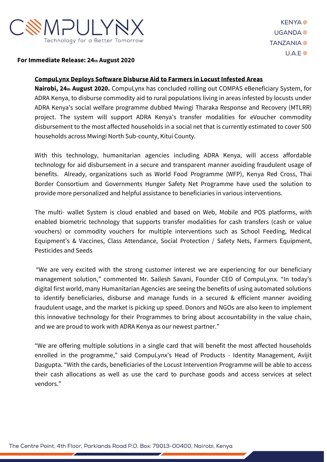

#### **For Immediate Release: 24th August 2020**

#### **CompuLynx Deploys Software Disburse Aid to Farmers in Locust Infested Areas**

**Nairobi, 24th August 2020.** CompuLynx has concluded rolling out COMPAS eBeneficiary System, for ADRA Kenya, to disburse commodity aid to rural populations living in areas infested by locusts under ADRA Kenya's social welfare programme dubbed Mwingi Tharaka Response and Recovery (MTLRR) project. The system will support ADRA Kenya's transfer modalities for eVoucher commodity disbursement to the most affected households in a social net that is currently estimated to cover 500 households across Mwingi North Sub-county, Kitui County.

With this technology, humanitarian agencies including ADRA Kenya, will access affordable technology for aid disbursement in a secure and transparent manner avoiding fraudulent usage of benefits. Already, organizations such as World Food Programme (WFP), Kenya Red Cross, Thai Border Consortium and Governments Hunger Safety Net Programme have used the solution to provide more personalized and helpful assistance to beneficiaries in various interventions.

The multi- wallet System is cloud enabled and based on Web, Mobile and POS platforms, with enabled biometric technology that supports transfer modalities for cash transfers (cash or value vouchers) or commodity vouchers for multiple interventions such as School Feeding, Medical Equipment's & Vaccines, Class Attendance, Social Protection / Safety Nets, Farmers Equipment, Pesticides and Seeds

"We are very excited with the strong customer interest we are experiencing for our beneficiary management solution," commented Mr. Sailesh Savani, Founder CEO of CompuLynx. "In today's digital first world, many Humanitarian Agencies are seeing the benefits of using automated solutions to identify beneficiaries, disburse and manage funds in a secured & efficient manner avoiding fraudulent usage, and the market is picking up speed. Donors and NGOs are also keen to implement this innovative technology for their Programmes to bring about accountability in the value chain, and we are proud to work with ADRA Kenya as our newest partner."

"We are offering multiple solutions in a single card that will benefit the most affected households enrolled in the programme," said CompuLynx's Head of Products - Identity Management, Avijit Dasgupta. "With the cards, beneficiaries of the Locust Intervention Programme will be able to access their cash allocations as well as use the card to purchase goods and access services at select vendors."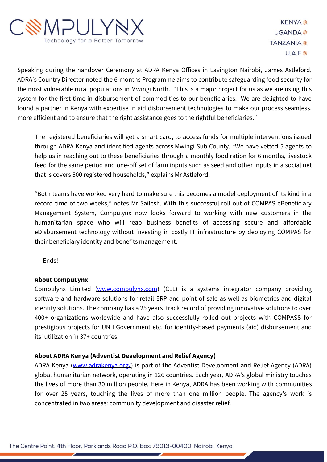

**KFNYA**<sup>®</sup> **UGANDA<sup>参</sup> TANZANIA**  $U.A.E$ 

Speaking during the handover Ceremony at ADRA Kenya Offices in Lavington Nairobi, James Astleford, ADRA's Country Director noted the 6-months Programme aims to contribute safeguarding food security for the most vulnerable rural populations in Mwingi North. "This is a major project for us as we are using this system for the first time in disbursement of commodities to our beneficiaries. We are delighted to have found a partner in Kenya with expertise in aid disbursement technologies to make our process seamless, more efficient and to ensure that the right assistance goes to the rightful beneficiaries."

The registered beneficiaries will get a smart card, to access funds for multiple interventions issued through ADRA Kenya and identified agents across Mwingi Sub County. "We have vetted 5 agents to help us in reaching out to these beneficiaries through a monthly food ration for 6 months, livestock feed for the same period and one-off set of farm inputs such as seed and other inputs in a social net that is covers 500 registered households," explains Mr Astleford.

"Both teams have worked very hard to make sure this becomes a model deployment of its kind in a record time of two weeks," notes Mr Sailesh. With this successful roll out of COMPAS eBeneficiary Management System, Compulynx now looks forward to working with new customers in the humanitarian space who will reap business benefits of accessing secure and affordable eDisbursement technology without investing in costly IT infrastructure by deploying COMPAS for their beneficiary identity and benefits management.

----Ends!

## **About CompuLynx**

Compulynx Limited [\(www.compulynx.com\)](http://www.compulynx.com/) (CLL) is a systems integrator company providing software and hardware solutions for retail ERP and point of sale as well as biometrics and digital identity solutions. The company has a 25 years' track record of providing innovative solutions to over 400+ organizations worldwide and have also successfully rolled out projects with COMPASS for prestigious projects for UN I Government etc. for identity-based payments (aid) disbursement and its' utilization in 37+ countries.

## **About ADRA Kenya (Adventist Development and Relief Agency)**

ADRA Kenya [\(www.adrakenya.org/\)](http://www.adrakenya.org/) is part of the Adventist Development and Relief Agency (ADRA) global humanitarian network, operating in 126 countries. Each year, ADRA's global ministry touches the lives of more than 30 million people. Here in Kenya, ADRA has been working with communities for over 25 years, touching the lives of more than one million people. The agency's work is concentrated in two areas: community development and disaster relief.